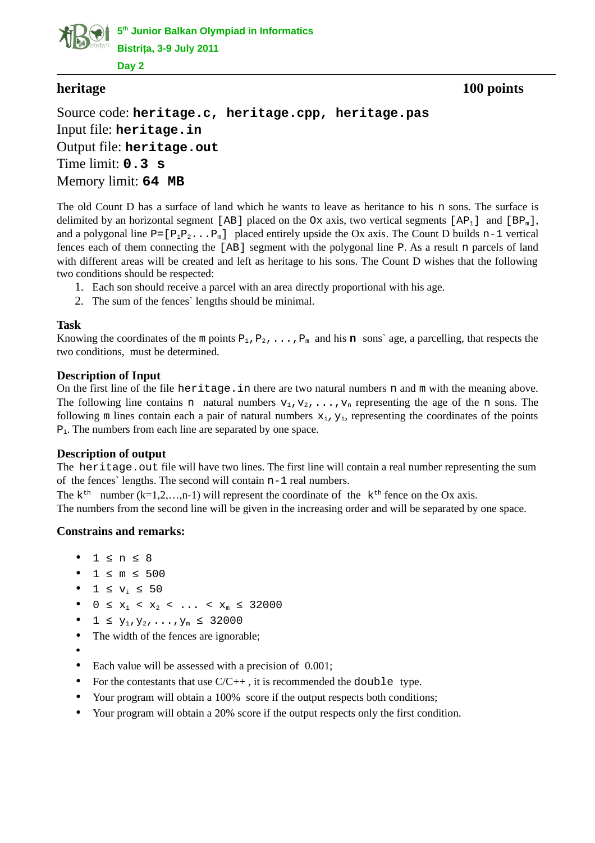

# **heritage 100 points**

Source code: **heritage.c, heritage.cpp, heritage.pas** Input file: **heritage.in** Output file: **heritage.out** Time limit: **0.3 s** Memory limit: **64 MB**

The old Count D has a surface of land which he wants to leave as heritance to his n sons. The surface is delimited by an horizontal segment [AB] placed on the Ox axis, two vertical segments  $[AP_1]$  and  $[BP_m]$ , and a polygonal line  $P = [P_1P_2 \ldots P_m]$  placed entirely upside the Ox axis. The Count D builds n-1 vertical fences each of them connecting the [AB] segment with the polygonal line P. As a result n parcels of land with different areas will be created and left as heritage to his sons. The Count D wishes that the following two conditions should be respected:

- 1. Each son should receive a parcel with an area directly proportional with his age.
- 2. The sum of the fences` lengths should be minimal.

## **Task**

Knowing the coordinates of the m points  $P_1, P_2, \ldots, P_m$  and his **n** sons` age, a parcelling, that respects the two conditions, must be determined.

## **Description of Input**

On the first line of the file heritage. in there are two natural numbers n and m with the meaning above. The following line contains n natural numbers  $V_1, V_2, \ldots, V_n$  representing the age of the n sons. The following  $m$  lines contain each a pair of natural numbers  $x_i$ ,  $y_i$ , representing the coordinates of the points  $P_i$ . The numbers from each line are separated by one space.

## **Description of output**

The heritage. out file will have two lines. The first line will contain a real number representing the sum of the fences` lengths. The second will contain n-1 real numbers.

The  $k<sup>th</sup>$  number ( $k=1,2,...,n-1$ ) will represent the coordinate of the  $k<sup>th</sup>$  fence on the Ox axis.

The numbers from the second line will be given in the increasing order and will be separated by one space.

## **Constrains and remarks:**

- $\bullet$  1  $\leq$  n  $\leq$  8
- 1 ≤ m ≤ 500
- $1 \le v_i \le 50$
- $0 \le x_1 < x_2 < \ldots < x_m \le 32000$
- $1 \leq y_1, y_2, \ldots, y_m \leq 32000$
- The width of the fences are ignorable;
- •
- Each value will be assessed with a precision of 0.001;
- For the contestants that use  $C/C++$ , it is recommended the double type.
- Your program will obtain a 100% score if the output respects both conditions;
- Your program will obtain a 20% score if the output respects only the first condition.